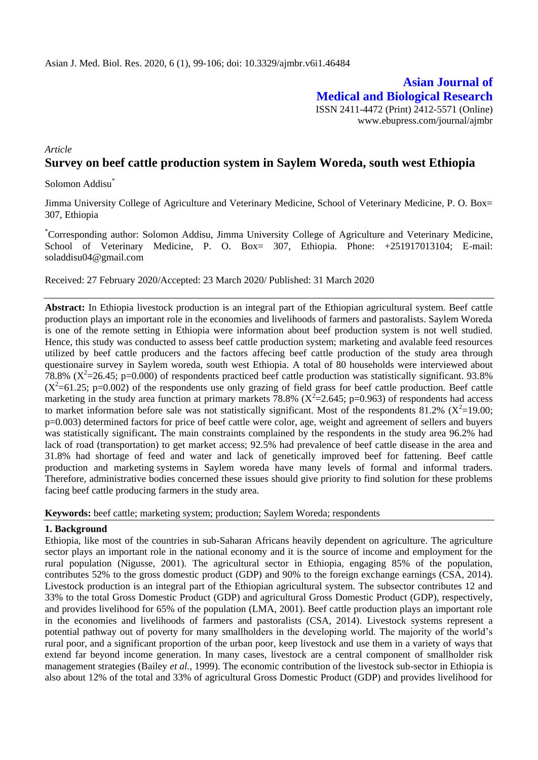**Asian Journal of Medical and Biological Research** ISSN 2411-4472 (Print) 2412-5571 (Online) www.ebupress.com/journal/ajmbr

# *Article* **Survey on beef cattle production system in Saylem Woreda, south west Ethiopia**

Solomon Addisu\*

Jimma University College of Agriculture and Veterinary Medicine, School of Veterinary Medicine, P. O. Box= 307, Ethiopia

\*Corresponding author: Solomon Addisu, Jimma University College of Agriculture and Veterinary Medicine, School of Veterinary Medicine, P. O. Box= 307, Ethiopia. Phone: +251917013104; E-mail: [soladdisu04@gmail.com](mailto:soladdisu04@gmail.com)

Received: 27 February 2020/Accepted: 23 March 2020/ Published: 31 March 2020

**Abstract:** In Ethiopia livestock production is an integral part of the Ethiopian agricultural system. Beef cattle production plays an important role in the economies and livelihoods of farmers and pastoralists. Saylem Woreda is one of the remote setting in Ethiopia were information about beef production system is not well studied. Hence, this study was conducted to assess beef cattle production system; marketing and avalable feed resources utilized by beef cattle producers and the factors affecing beef cattle production of the study area through questionaire survey in Saylem woreda, south west Ethiopia. A total of 80 households were interviewed about 78.8% ( $X^2$ =26.45; p=0.000) of respondents practiced beef cattle production was statistically significant. 93.8%  $(X^2=61.25; p=0.002)$  of the respondents use only grazing of field grass for beef cattle production. Beef cattle marketing in the study area function at primary markets 78.8% ( $X^2$ =2.645; p=0.963) of respondents had access to market information before sale was not statistically significant. Most of the respondents 81.2% ( $X^2$ =19.00; p=0.003) determined factors for price of beef cattle were color, age, weight and agreement of sellers and buyers was statistically significant**.** The main constraints complained by the respondents in the study area 96.2% had lack of road (transportation) to get market access; 92.5% had prevalence of beef cattle disease in the area and 31.8% had shortage of feed and water and lack of genetically improved beef for fattening. Beef cattle production and marketing systems in Saylem woreda have many levels of formal and informal traders. Therefore, administrative bodies concerned these issues should give priority to find solution for these problems facing beef cattle producing farmers in the study area.

**Keywords:** beef cattle; marketing system; production; Saylem Woreda; respondents

## **1. Background**

Ethiopia, like most of the countries in sub-Saharan Africans heavily dependent on agriculture. The agriculture sector plays an important role in the national economy and it is the source of income and employment for the rural population (Nigusse, 2001). The agricultural sector in Ethiopia, engaging 85% of the population, contributes 52% to the gross domestic product (GDP) and 90% to the foreign exchange earnings (CSA, 2014). Livestock production is an integral part of the Ethiopian agricultural system. The subsector contributes 12 and 33% to the total Gross Domestic Product (GDP) and agricultural Gross Domestic Product (GDP), respectively, and provides livelihood for 65% of the population (LMA, 2001). Beef cattle production plays an important role in the economies and livelihoods of farmers and pastoralists (CSA, 2014). Livestock systems represent a potential pathway out of poverty for many smallholders in the developing world. The majority of the world"s rural poor, and a significant proportion of the urban poor, keep livestock and use them in a variety of ways that extend far beyond income generation. In many cases, livestock are a central component of smallholder risk management strategies (Bailey *et al.,* 1999). The economic contribution of the livestock sub-sector in Ethiopia is also about 12% of the total and 33% of agricultural Gross Domestic Product (GDP) and provides livelihood for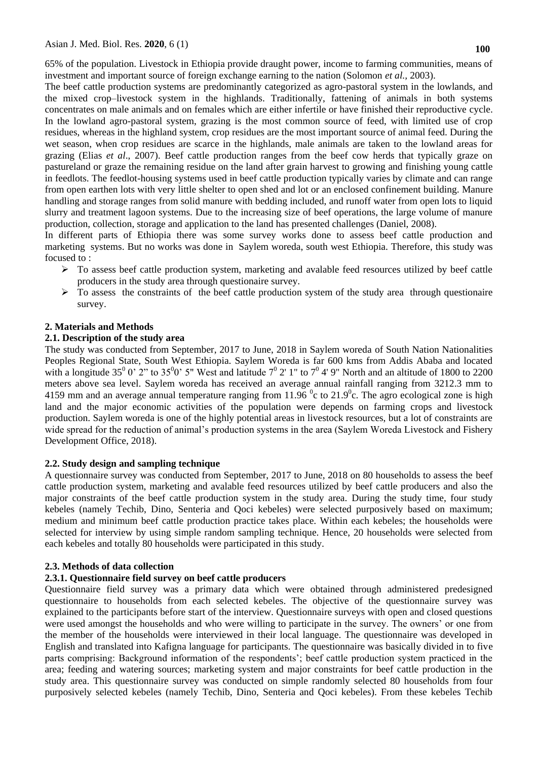65% of the population. Livestock in Ethiopia provide draught power, income to farming communities, means of investment and important source of foreign exchange earning to the nation (Solomon *et al.,* 2003).

The beef cattle production systems are predominantly categorized as agro-pastoral system in the lowlands, and the mixed crop–livestock system in the highlands. Traditionally, fattening of animals in both systems concentrates on male animals and on females which are either infertile or have finished their reproductive cycle. In the lowland agro-pastoral system, grazing is the most common source of feed, with limited use of crop residues, whereas in the highland system, crop residues are the most important source of animal feed. During the wet season, when crop residues are scarce in the highlands, male animals are taken to the lowland areas for grazing (Elias *et al*., 2007). Beef cattle production ranges from the beef cow herds that typically graze on pastureland or graze the remaining residue on the land after grain harvest to growing and finishing young cattle in feedlots. The feedlot-housing systems used in beef cattle production typically varies by climate and can range from open earthen lots with very little shelter to open shed and lot or an enclosed confinement building. Manure handling and storage ranges from solid manure with bedding included, and runoff water from open lots to liquid slurry and treatment lagoon systems. Due to the increasing size of beef operations, the large volume of manure production, collection, storage and application to the land has presented challenges (Daniel, 2008).

In different parts of Ethiopia there was some survey works done to assess beef cattle production and marketing systems. But no works was done in Saylem woreda, south west Ethiopia. Therefore, this study was focused to :

- $\triangleright$  To assess beef cattle production system, marketing and avalable feed resources utilized by beef cattle producers in the study area through questionaire survey.
- $\triangleright$  To assess the constraints of the beef cattle production system of the study area through questionaire survey.

## **2. Materials and Methods**

## **2.1. Description of the study area**

The study was conducted from September, 2017 to June, 2018 in Saylem woreda of South Nation Nationalities Peoples Regional State, South West Ethiopia. Saylem Woreda is far 600 kms from Addis Ababa and located with a longitude 35<sup>0</sup> 0' 2" to 35<sup>0</sup>0' 5" West and latitude  $7^0$  2' 1" to  $7^0$  4' 9" North and an altitude of 1800 to 2200 meters above sea level. Saylem woreda has received an average annual rainfall ranging from 3212.3 mm to 4159 mm and an average annual temperature ranging from 11.96  $\degree$ c to 21.9 $\degree$ c. The agro ecological zone is high land and the major economic activities of the population were depends on farming crops and livestock production. Saylem woreda is one of the highly potential areas in livestock resources, but a lot of constraints are wide spread for the reduction of animal's production systems in the area (Saylem Woreda Livestock and Fishery Development Office, 2018).

## **2.2. Study design and sampling technique**

A questionnaire survey was conducted from September, 2017 to June, 2018 on 80 households to assess the beef cattle production system, marketing and avalable feed resources utilized by beef cattle producers and also the major constraints of the beef cattle production system in the study area. During the study time, four study kebeles (namely Techib, Dino, Senteria and Qoci kebeles) were selected purposively based on maximum; medium and minimum beef cattle production practice takes place. Within each kebeles; the households were selected for interview by using simple random sampling technique. Hence, 20 households were selected from each kebeles and totally 80 households were participated in this study.

## **2.3. Methods of data collection**

## **2.3.1. Questionnaire field survey on beef cattle producers**

Questionnaire field survey was a primary data which were obtained through administered predesigned questionnaire to households from each selected kebeles. The objective of the questionnaire survey was explained to the participants before start of the interview. Questionnaire surveys with open and closed questions were used amongst the households and who were willing to participate in the survey. The owners' or one from the member of the households were interviewed in their local language. The questionnaire was developed in English and translated into Kafigna language for participants. The questionnaire was basically divided in to five parts comprising: Background information of the respondents"; beef cattle production system practiced in the area; feeding and watering sources; marketing system and major constraints for beef cattle production in the study area. This questionnaire survey was conducted on simple randomly selected 80 households from four purposively selected kebeles (namely Techib, Dino, Senteria and Qoci kebeles). From these kebeles Techib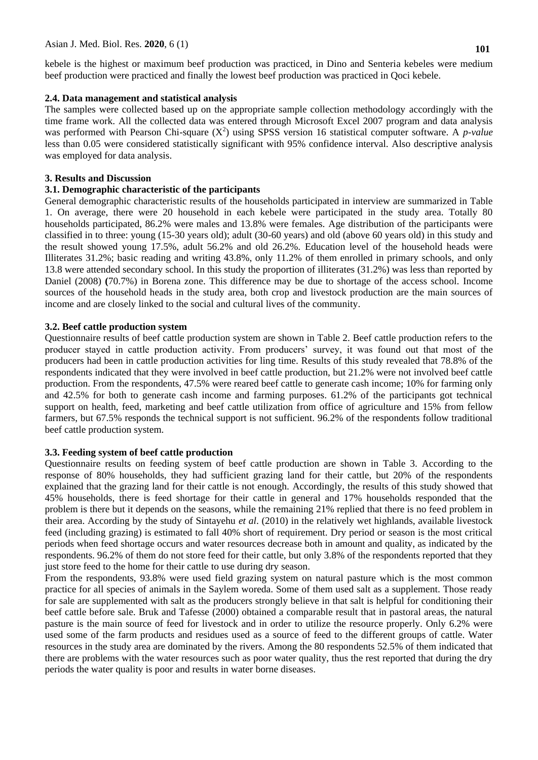kebele is the highest or maximum beef production was practiced, in Dino and Senteria kebeles were medium beef production were practiced and finally the lowest beef production was practiced in Qoci kebele.

#### **2.4. Data management and statistical analysis**

The samples were collected based up on the appropriate sample collection methodology accordingly with the time frame work. All the collected data was entered through Microsoft Excel 2007 program and data analysis was performed with Pearson Chi-square  $(X^2)$  using SPSS version 16 statistical computer software. A *p-value* less than 0.05 were considered statistically significant with 95% confidence interval. Also descriptive analysis was employed for data analysis.

#### **3. Results and Discussion**

## **3.1. Demographic characteristic of the participants**

General demographic characteristic results of the households participated in interview are summarized in Table 1. On average, there were 20 household in each kebele were participated in the study area. Totally 80 households participated, 86.2% were males and 13.8% were females. Age distribution of the participants were classified in to three: young (15-30 years old); adult (30-60 years) and old (above 60 years old) in this study and the result showed young 17.5%, adult 56.2% and old 26.2%. Education level of the household heads were Illiterates 31.2%; basic reading and writing 43.8%, only 11.2% of them enrolled in primary schools, and only 13.8 were attended secondary school. In this study the proportion of illiterates (31.2%) was less than reported by Daniel (2008) **(**70.7%) in Borena zone. This difference may be due to shortage of the access school. Income sources of the household heads in the study area, both crop and livestock production are the main sources of income and are closely linked to the social and cultural lives of the community.

#### **3.2. Beef cattle production system**

Questionnaire results of beef cattle production system are shown in Table 2. Beef cattle production refers to the producer stayed in cattle production activity. From producers' survey, it was found out that most of the producers had been in cattle production activities for ling time. Results of this study revealed that 78.8% of the respondents indicated that they were involved in beef cattle production, but 21.2% were not involved beef cattle production. From the respondents, 47.5% were reared beef cattle to generate cash income; 10% for farming only and 42.5% for both to generate cash income and farming purposes. 61.2% of the participants got technical support on health, feed, marketing and beef cattle utilization from office of agriculture and 15% from fellow farmers, but 67.5% responds the technical support is not sufficient. 96.2% of the respondents follow traditional beef cattle production system.

#### **3.3. Feeding system of beef cattle production**

Questionnaire results on feeding system of beef cattle production are shown in Table 3. According to the response of 80% households, they had sufficient grazing land for their cattle, but 20% of the respondents explained that the grazing land for their cattle is not enough. Accordingly, the results of this study showed that 45% households, there is feed shortage for their cattle in general and 17% households responded that the problem is there but it depends on the seasons, while the remaining 21% replied that there is no feed problem in their area. According by the study of Sintayehu *et al*. (2010) in the relatively wet highlands, available livestock feed (including grazing) is estimated to fall 40% short of requirement. Dry period or season is the most critical periods when feed shortage occurs and water resources decrease both in amount and quality, as indicated by the respondents. 96.2% of them do not store feed for their cattle, but only 3.8% of the respondents reported that they just store feed to the home for their cattle to use during dry season.

From the respondents, 93.8% were used field grazing system on natural pasture which is the most common practice for all species of animals in the Saylem woreda. Some of them used salt as a supplement. Those ready for sale are supplemented with salt as the producers strongly believe in that salt is helpful for conditioning their beef cattle before sale. Bruk and Tafesse (2000) obtained a comparable result that in pastoral areas, the natural pasture is the main source of feed for livestock and in order to utilize the resource properly. Only 6.2% were used some of the farm products and residues used as a source of feed to the different groups of cattle. Water resources in the study area are dominated by the rivers. Among the 80 respondents 52.5% of them indicated that there are problems with the water resources such as poor water quality, thus the rest reported that during the dry periods the water quality is poor and results in water borne diseases.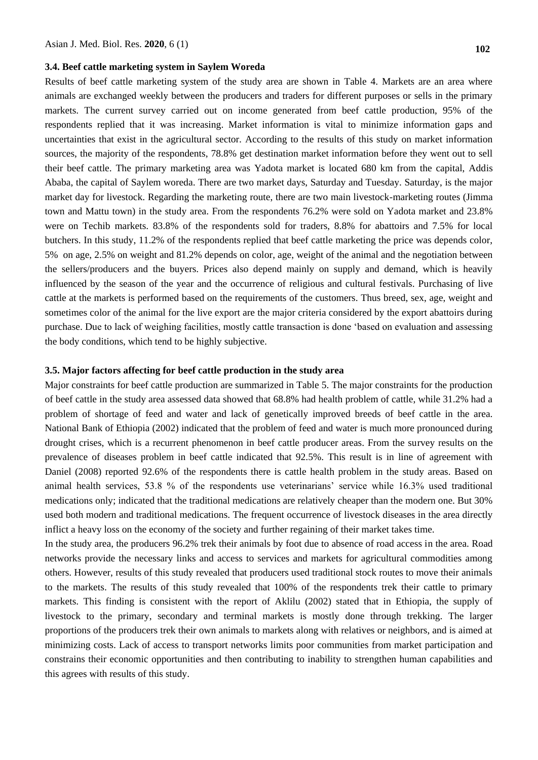#### **3.4. Beef cattle marketing system in Saylem Woreda**

Results of beef cattle marketing system of the study area are shown in Table 4. Markets are an area where animals are exchanged weekly between the producers and traders for different purposes or sells in the primary markets. The current survey carried out on income generated from beef cattle production, 95% of the respondents replied that it was increasing. Market information is vital to minimize information gaps and uncertainties that exist in the agricultural sector. According to the results of this study on market information sources, the majority of the respondents, 78.8% get destination market information before they went out to sell their beef cattle. The primary marketing area was Yadota market is located 680 km from the capital, Addis Ababa, the capital of Saylem woreda. There are two market days, Saturday and Tuesday. Saturday, is the major market day for livestock. Regarding the marketing route, there are two main livestock-marketing routes (Jimma town and Mattu town) in the study area. From the respondents 76.2% were sold on Yadota market and 23.8% were on Techib markets. 83.8% of the respondents sold for traders, 8.8% for abattoirs and 7.5% for local butchers. In this study, 11.2% of the respondents replied that beef cattle marketing the price was depends color, 5% on age, 2.5% on weight and 81.2% depends on color, age, weight of the animal and the negotiation between the sellers/producers and the buyers. Prices also depend mainly on supply and demand, which is heavily influenced by the season of the year and the occurrence of religious and cultural festivals. Purchasing of live cattle at the markets is performed based on the requirements of the customers. Thus breed, sex, age, weight and sometimes color of the animal for the live export are the major criteria considered by the export abattoirs during purchase. Due to lack of weighing facilities, mostly cattle transaction is done "based on evaluation and assessing the body conditions, which tend to be highly subjective.

## **3.5. Major factors affecting for beef cattle production in the study area**

Major constraints for beef cattle production are summarized in Table 5. The major constraints for the production of beef cattle in the study area assessed data showed that 68.8% had health problem of cattle, while 31.2% had a problem of shortage of feed and water and lack of genetically improved breeds of beef cattle in the area. National Bank of Ethiopia (2002) indicated that the problem of feed and water is much more pronounced during drought crises, which is a recurrent phenomenon in beef cattle producer areas. From the survey results on the prevalence of diseases problem in beef cattle indicated that 92.5%. This result is in line of agreement with Daniel (2008) reported 92.6% of the respondents there is cattle health problem in the study areas. Based on animal health services, 53.8 % of the respondents use veterinarians" service while 16.3% used traditional medications only; indicated that the traditional medications are relatively cheaper than the modern one. But 30% used both modern and traditional medications. The frequent occurrence of livestock diseases in the area directly inflict a heavy loss on the economy of the society and further regaining of their market takes time.

In the study area, the producers 96.2% trek their animals by foot due to absence of road access in the area. Road networks provide the necessary links and access to services and markets for agricultural commodities among others. However, results of this study revealed that producers used traditional stock routes to move their animals to the markets. The results of this study revealed that 100% of the respondents trek their cattle to primary markets. This finding is consistent with the report of Aklilu (2002) stated that in Ethiopia, the supply of livestock to the primary, secondary and terminal markets is mostly done through trekking. The larger proportions of the producers trek their own animals to markets along with relatives or neighbors, and is aimed at minimizing costs. Lack of access to transport networks limits poor communities from market participation and constrains their economic opportunities and then contributing to inability to strengthen human capabilities and this agrees with results of this study.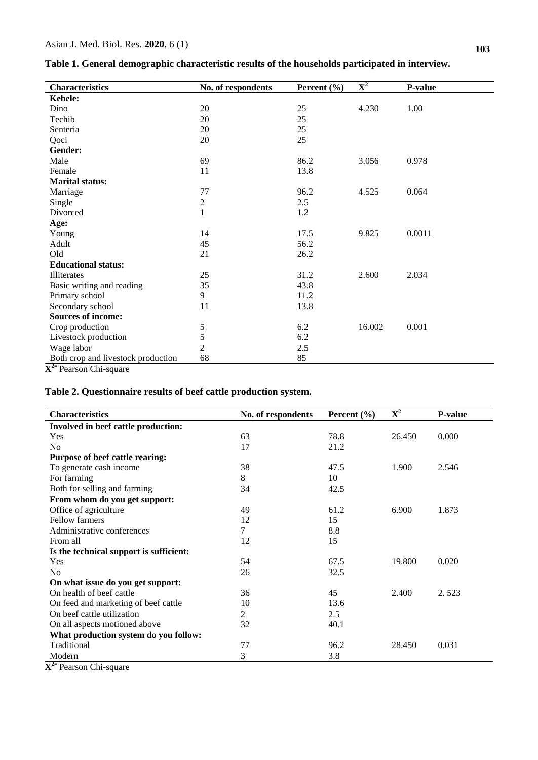|                            | ັ                  |                 |                           |         |  |
|----------------------------|--------------------|-----------------|---------------------------|---------|--|
| <b>Characteristics</b>     | No. of respondents | Percent $(\% )$ | $\overline{\mathbf{X}^2}$ | P-value |  |
| Kebele:                    |                    |                 |                           |         |  |
| Dino                       | 20                 | 25              | 4.230                     | 1.00    |  |
| Techib                     | 20                 | 25              |                           |         |  |
| Senteria                   | 20                 | 25              |                           |         |  |
| Qoci                       | 20                 | 25              |                           |         |  |
| Gender:                    |                    |                 |                           |         |  |
| Male                       | 69                 | 86.2            | 3.056                     | 0.978   |  |
| Female                     | 11                 | 13.8            |                           |         |  |
| <b>Marital status:</b>     |                    |                 |                           |         |  |
| Marriage                   | 77                 | 96.2            | 4.525                     | 0.064   |  |
| Single                     | 2                  | 2.5             |                           |         |  |
| Divorced                   | $\mathbf{1}$       | 1.2             |                           |         |  |
| Age:                       |                    |                 |                           |         |  |
| Young                      | 14                 | 17.5            | 9.825                     | 0.0011  |  |
| Adult                      | 45                 | 56.2            |                           |         |  |
| Old                        | 21                 | 26.2            |                           |         |  |
| <b>Educational status:</b> |                    |                 |                           |         |  |
| Illiterates                | 25                 | 31.2            | 2.600                     | 2.034   |  |

 $35$  43.8<br>9  $11.2$ 

11 13.8

 $\frac{5}{2}$  6.2<br>2.5

68 85

5 6.2 16.002 0.001

11.2

2 2.5

**Table 1. General demographic characteristic results of the households participated in interview.**

Both crop and livestock production **X 2=** Pearson Chi-square

Basic writing and reading

Primary school Secondary school

Wage labor

**Sources of income:** Crop production Livestock production

## **Table 2. Questionnaire results of beef cattle production system.**

| <b>Characteristics</b>                  | No. of respondents | Percent $(\% )$ | $\overline{\mathbf{X}^2}$ | <b>P-value</b> |
|-----------------------------------------|--------------------|-----------------|---------------------------|----------------|
| Involved in beef cattle production:     |                    |                 |                           |                |
| Yes                                     | 63                 | 78.8            | 26.450                    | 0.000          |
| N <sub>0</sub>                          | 17                 | 21.2            |                           |                |
| Purpose of beef cattle rearing:         |                    |                 |                           |                |
| To generate cash income                 | 38                 | 47.5            | 1.900                     | 2.546          |
| For farming                             | 8                  | 10              |                           |                |
| Both for selling and farming            | 34                 | 42.5            |                           |                |
| From whom do you get support:           |                    |                 |                           |                |
| Office of agriculture                   | 49                 | 61.2            | 6.900                     | 1.873          |
| <b>Fellow farmers</b>                   | 12                 | 15              |                           |                |
| Administrative conferences              | 7                  | 8.8             |                           |                |
| From all                                | 12                 | 15              |                           |                |
| Is the technical support is sufficient: |                    |                 |                           |                |
| Yes                                     | 54                 | 67.5            | 19.800                    | 0.020          |
| N <sub>0</sub>                          | 26                 | 32.5            |                           |                |
| On what issue do you get support:       |                    |                 |                           |                |
| On health of beef cattle                | 36                 | 45              | 2.400                     | 2.523          |
| On feed and marketing of beef cattle    | 10                 | 13.6            |                           |                |
| On beef cattle utilization              | 2                  | 2.5             |                           |                |
| On all aspects motioned above           | 32                 | 40.1            |                           |                |
| What production system do you follow:   |                    |                 |                           |                |
| Traditional                             | 77                 | 96.2            | 28.450                    | 0.031          |
| Modern                                  | 3                  | 3.8             |                           |                |

**X 2=** Pearson Chi-square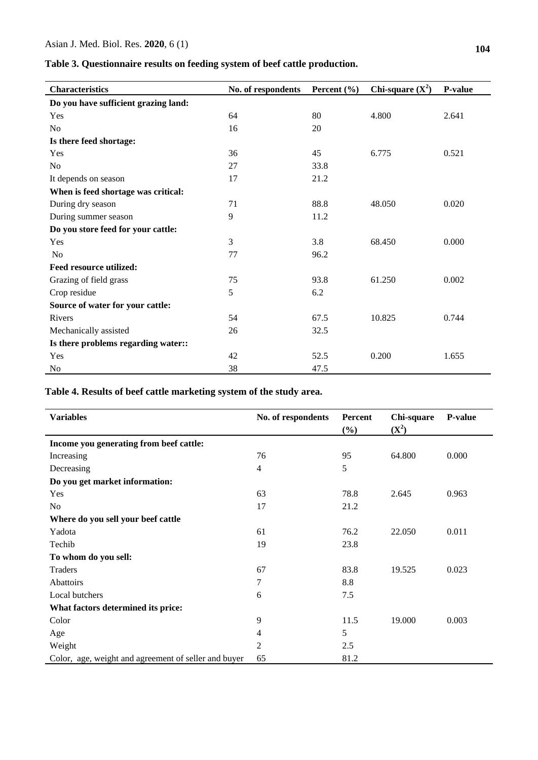**Table 3. Questionnaire results on feeding system of beef cattle production.**

| <b>Characteristics</b>               | No. of respondents | Percent $(\% )$ | Chi-square $(X^2)$ | <b>P-value</b> |
|--------------------------------------|--------------------|-----------------|--------------------|----------------|
| Do you have sufficient grazing land: |                    |                 |                    |                |
| Yes                                  | 64                 | 80              | 4.800              | 2.641          |
| No                                   | 16                 | 20              |                    |                |
| Is there feed shortage:              |                    |                 |                    |                |
| Yes                                  | 36                 | 45              | 6.775              | 0.521          |
| No                                   | 27                 | 33.8            |                    |                |
| It depends on season                 | 17                 | 21.2            |                    |                |
| When is feed shortage was critical:  |                    |                 |                    |                |
| During dry season                    | 71                 | 88.8            | 48.050             | 0.020          |
| During summer season                 | 9                  | 11.2            |                    |                |
| Do you store feed for your cattle:   |                    |                 |                    |                |
| Yes                                  | 3                  | 3.8             | 68.450             | 0.000          |
| N <sub>o</sub>                       | 77                 | 96.2            |                    |                |
| <b>Feed resource utilized:</b>       |                    |                 |                    |                |
| Grazing of field grass               | 75                 | 93.8            | 61.250             | 0.002          |
| Crop residue                         | 5                  | 6.2             |                    |                |
| Source of water for your cattle:     |                    |                 |                    |                |
| Rivers                               | 54                 | 67.5            | 10.825             | 0.744          |
| Mechanically assisted                | 26                 | 32.5            |                    |                |
| Is there problems regarding water::  |                    |                 |                    |                |
| Yes                                  | 42                 | 52.5            | 0.200              | 1.655          |
| N <sub>0</sub>                       | 38                 | 47.5            |                    |                |

**Table 4. Results of beef cattle marketing system of the study area.**

| <b>Variables</b>                                     | No. of respondents | Percent<br>$(\%)$ | Chi-square<br>$(X^2)$ | <b>P-value</b> |
|------------------------------------------------------|--------------------|-------------------|-----------------------|----------------|
| Income you generating from beef cattle:              |                    |                   |                       |                |
| Increasing                                           | 76                 | 95                | 64.800                | 0.000          |
| Decreasing                                           | 4                  | 5                 |                       |                |
| Do you get market information:                       |                    |                   |                       |                |
| Yes                                                  | 63                 | 78.8              | 2.645                 | 0.963          |
| No                                                   | 17                 | 21.2              |                       |                |
| Where do you sell your beef cattle                   |                    |                   |                       |                |
| Yadota                                               | 61                 | 76.2              | 22.050                | 0.011          |
| Techib                                               | 19                 | 23.8              |                       |                |
| To whom do you sell:                                 |                    |                   |                       |                |
| Traders                                              | 67                 | 83.8              | 19.525                | 0.023          |
| Abattoirs                                            | 7                  | 8.8               |                       |                |
| Local butchers                                       | 6                  | 7.5               |                       |                |
| What factors determined its price:                   |                    |                   |                       |                |
| Color                                                | 9                  | 11.5              | 19.000                | 0.003          |
| Age                                                  | 4                  | 5                 |                       |                |
| Weight                                               | 2                  | 2.5               |                       |                |
| Color, age, weight and agreement of seller and buyer | 65                 | 81.2              |                       |                |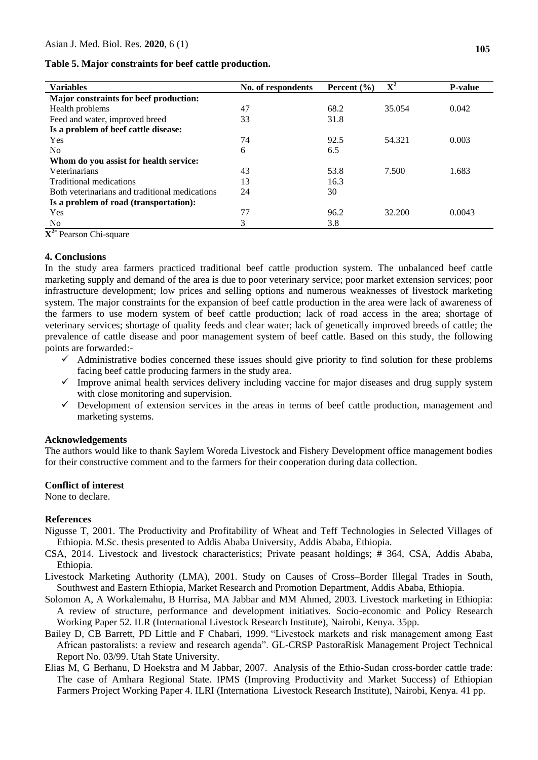**Table 5. Major constraints for beef cattle production.**

| <b>Variables</b>                               | No. of respondents | Percent $(\% )$ | $\overline{\mathbf{X}^2}$ | <b>P-value</b> |
|------------------------------------------------|--------------------|-----------------|---------------------------|----------------|
| Major constraints for beef production:         |                    |                 |                           |                |
| Health problems                                | 47                 | 68.2            | 35.054                    | 0.042          |
| Feed and water, improved breed                 | 33                 | 31.8            |                           |                |
| Is a problem of beef cattle disease:           |                    |                 |                           |                |
| Yes                                            | 74                 | 92.5            | 54.321                    | 0.003          |
| N <sub>0</sub>                                 | 6                  | 6.5             |                           |                |
| Whom do you assist for health service:         |                    |                 |                           |                |
| Veterinarians                                  | 43                 | 53.8            | 7.500                     | 1.683          |
| Traditional medications                        | 13                 | 16.3            |                           |                |
| Both veterinarians and traditional medications | 24                 | 30              |                           |                |
| Is a problem of road (transportation):         |                    |                 |                           |                |
| Yes                                            | 77                 | 96.2            | 32.200                    | 0.0043         |
| N <sub>o</sub>                                 | 3                  | 3.8             |                           |                |

**X 2=** Pearson Chi-square

## **4. Conclusions**

In the study area farmers practiced traditional beef cattle production system. The unbalanced beef cattle marketing supply and demand of the area is due to poor veterinary service; poor market extension services; poor infrastructure development; low prices and selling options and numerous weaknesses of livestock marketing system. The major constraints for the expansion of beef cattle production in the area were lack of awareness of the farmers to use modern system of beef cattle production; lack of road access in the area; shortage of veterinary services; shortage of quality feeds and clear water; lack of genetically improved breeds of cattle; the prevalence of cattle disease and poor management system of beef cattle. Based on this study, the following points are forwarded:-

- $\checkmark$  Administrative bodies concerned these issues should give priority to find solution for these problems facing beef cattle producing farmers in the study area.
- $\checkmark$  Improve animal health services delivery including vaccine for major diseases and drug supply system with close monitoring and supervision.
- $\checkmark$  Development of extension services in the areas in terms of beef cattle production, management and marketing systems.

## **Acknowledgements**

The authors would like to thank Saylem Woreda Livestock and Fishery Development office management bodies for their constructive comment and to the farmers for their cooperation during data collection.

## **Conflict of interest**

None to declare.

#### **References**

- Nigusse T, 2001. The Productivity and Profitability of Wheat and Teff Technologies in Selected Villages of Ethiopia. M.Sc. thesis presented to Addis Ababa University, Addis Ababa, Ethiopia.
- CSA, 2014. Livestock and livestock characteristics; Private peasant holdings; # 364, CSA, Addis Ababa, Ethiopia.
- Livestock Marketing Authority (LMA), 2001. Study on Causes of Cross–Border Illegal Trades in South, Southwest and Eastern Ethiopia, Market Research and Promotion Department, Addis Ababa, Ethiopia.
- Solomon A, A Workalemahu, B Hurrisa, MA Jabbar and MM Ahmed, 2003. Livestock marketing in Ethiopia: A review of structure, performance and development initiatives. Socio-economic and Policy Research Working Paper 52. ILR (International Livestock Research Institute), Nairobi, Kenya. 35pp.
- Bailey D, CB Barrett, PD Little and F Chabari, 1999. "Livestock markets and risk management among East African pastoralists: a review and research agenda". GL-CRSP PastoraRisk Management Project Technical Report No. 03/99. Utah State University.
- Elias M, G Berhanu, D Hoekstra and M Jabbar, 2007. Analysis of the Ethio-Sudan cross-border cattle trade: The case of Amhara Regional State. IPMS (Improving Productivity and Market Success) of Ethiopian Farmers Project Working Paper 4. ILRI (Internationa Livestock Research Institute), Nairobi, Kenya. 41 pp.